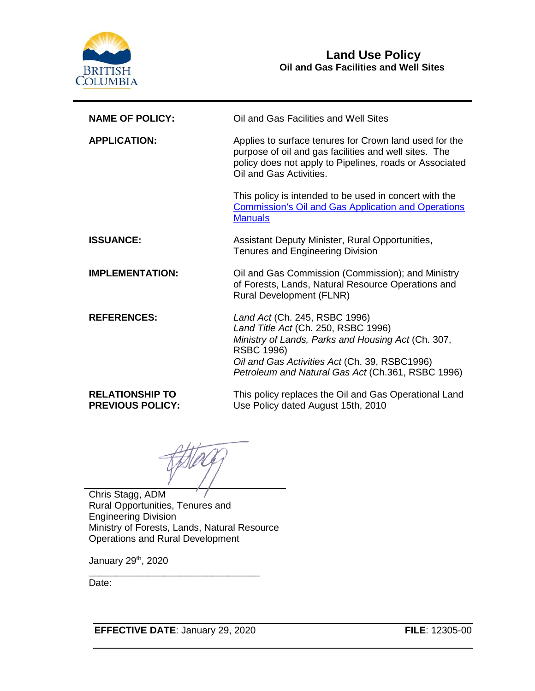

| <b>NAME OF POLICY:</b>                            | Oil and Gas Facilities and Well Sites                                                                                                                                                                                                                 |  |
|---------------------------------------------------|-------------------------------------------------------------------------------------------------------------------------------------------------------------------------------------------------------------------------------------------------------|--|
| <b>APPLICATION:</b>                               | Applies to surface tenures for Crown land used for the<br>purpose of oil and gas facilities and well sites. The<br>policy does not apply to Pipelines, roads or Associated<br>Oil and Gas Activities.                                                 |  |
|                                                   | This policy is intended to be used in concert with the<br><b>Commission's Oil and Gas Application and Operations</b><br><b>Manuals</b>                                                                                                                |  |
| <b>ISSUANCE:</b>                                  | Assistant Deputy Minister, Rural Opportunities,<br><b>Tenures and Engineering Division</b>                                                                                                                                                            |  |
| <b>IMPLEMENTATION:</b>                            | Oil and Gas Commission (Commission); and Ministry<br>of Forests, Lands, Natural Resource Operations and<br><b>Rural Development (FLNR)</b>                                                                                                            |  |
| <b>REFERENCES:</b>                                | Land Act (Ch. 245, RSBC 1996)<br>Land Title Act (Ch. 250, RSBC 1996)<br>Ministry of Lands, Parks and Housing Act (Ch. 307,<br><b>RSBC 1996)</b><br>Oil and Gas Activities Act (Ch. 39, RSBC1996)<br>Petroleum and Natural Gas Act (Ch.361, RSBC 1996) |  |
| <b>RELATIONSHIP TO</b><br><b>PREVIOUS POLICY:</b> | This policy replaces the Oil and Gas Operational Land<br>Use Policy dated August 15th, 2010                                                                                                                                                           |  |

Chris Stagg, ADM Rural Opportunities, Tenures and Engineering Division Ministry of Forests, Lands, Natural Resource Operations and Rural Development

January 29th, 2020

Date:

**EFFECTIVE DATE**: January 29, 2020 **FILE**: 12305-00

\_\_\_\_\_\_\_\_\_\_\_\_\_\_\_\_\_\_\_\_\_\_\_\_\_\_\_\_\_\_\_\_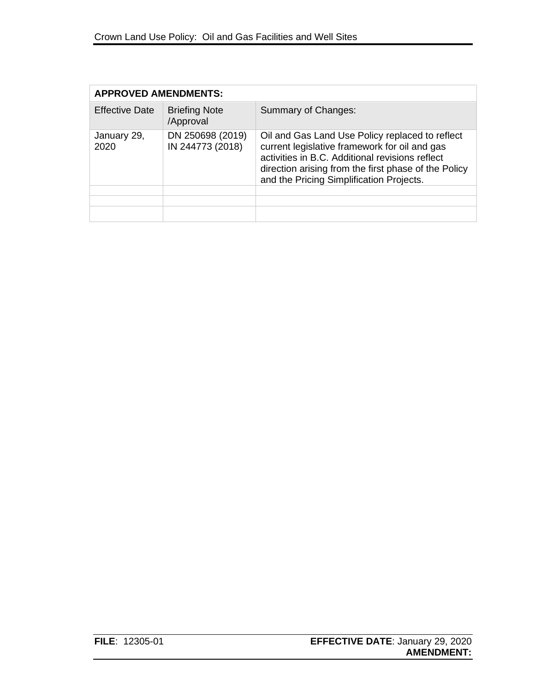| <b>APPROVED AMENDMENTS:</b> |                                      |                                                                                                                                                                                                                                                         |  |  |
|-----------------------------|--------------------------------------|---------------------------------------------------------------------------------------------------------------------------------------------------------------------------------------------------------------------------------------------------------|--|--|
| <b>Effective Date</b>       | <b>Briefing Note</b><br>/Approval    | Summary of Changes:                                                                                                                                                                                                                                     |  |  |
| January 29,<br>2020         | DN 250698 (2019)<br>IN 244773 (2018) | Oil and Gas Land Use Policy replaced to reflect<br>current legislative framework for oil and gas<br>activities in B.C. Additional revisions reflect<br>direction arising from the first phase of the Policy<br>and the Pricing Simplification Projects. |  |  |
|                             |                                      |                                                                                                                                                                                                                                                         |  |  |
|                             |                                      |                                                                                                                                                                                                                                                         |  |  |
|                             |                                      |                                                                                                                                                                                                                                                         |  |  |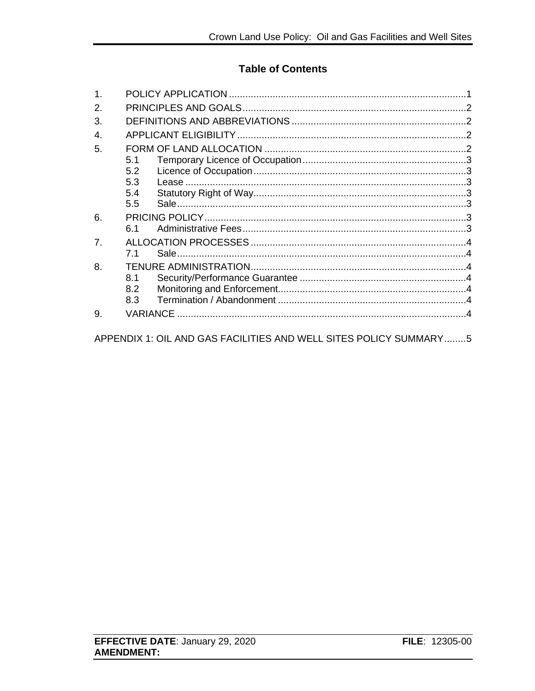#### **Table of Contents**

| 1. |                |  |  |
|----|----------------|--|--|
| 2. |                |  |  |
| 3. |                |  |  |
| 4. |                |  |  |
| 5. |                |  |  |
|    | 5.1            |  |  |
|    | 5.2            |  |  |
|    | 5.3            |  |  |
|    | 5.4            |  |  |
|    | 5.5            |  |  |
| 6. |                |  |  |
|    | 6.1            |  |  |
| 7. |                |  |  |
|    | 7 <sub>1</sub> |  |  |
| 8. |                |  |  |
|    | 8.1            |  |  |
|    | 8.2            |  |  |
|    | 8.3            |  |  |
| 9. |                |  |  |
|    |                |  |  |

APPENDIX 1: OIL AND GAS FACILITIES AND WELL SITES POLICY SUMMARY........5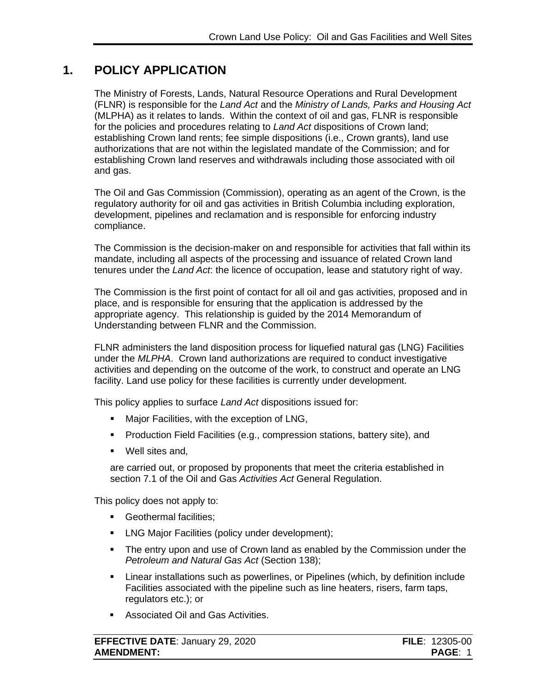#### **1. POLICY APPLICATION**

<span id="page-3-0"></span>The Ministry of Forests, Lands, Natural Resource Operations and Rural Development (FLNR) is responsible for the *Land Act* and the *Ministry of Lands, Parks and Housing Act* (MLPHA) as it relates to lands. Within the context of oil and gas, FLNR is responsible for the policies and procedures relating to *Land Act* dispositions of Crown land; establishing Crown land rents; fee simple dispositions (i.e., Crown grants), land use authorizations that are not within the legislated mandate of the Commission; and for establishing Crown land reserves and withdrawals including those associated with oil and gas.

The Oil and Gas Commission (Commission), operating as an agent of the Crown, is the regulatory authority for oil and gas activities in British Columbia including exploration, development, pipelines and reclamation and is responsible for enforcing industry compliance.

The Commission is the decision-maker on and responsible for activities that fall within its mandate, including all aspects of the processing and issuance of related Crown land tenures under the *Land Act*: the licence of occupation, lease and statutory right of way.

The Commission is the first point of contact for all oil and gas activities, proposed and in place, and is responsible for ensuring that the application is addressed by the appropriate agency. This relationship is guided by the 2014 Memorandum of Understanding between FLNR and the Commission.

FLNR administers the land disposition process for liquefied natural gas (LNG) Facilities under the *MLPHA*. Crown land authorizations are required to conduct investigative activities and depending on the outcome of the work, to construct and operate an LNG facility. Land use policy for these facilities is currently under development.

This policy applies to surface *Land Act* dispositions issued for:

- **Major Facilities, with the exception of LNG,**
- **Production Field Facilities (e.g., compression stations, battery site), and**
- Well sites and,

are carried out, or proposed by proponents that meet the criteria established in section 7.1 of the Oil and Gas *Activities Act* General Regulation.

This policy does not apply to:

- **Geothermal facilities;**
- **EXECO Major Facilities (policy under development);**
- The entry upon and use of Crown land as enabled by the Commission under the *Petroleum and Natural Gas Act* (Section 138);
- Linear installations such as powerlines, or Pipelines (which, by definition include Facilities associated with the pipeline such as line heaters, risers, farm taps, regulators etc.); or
- **Associated Oil and Gas Activities.**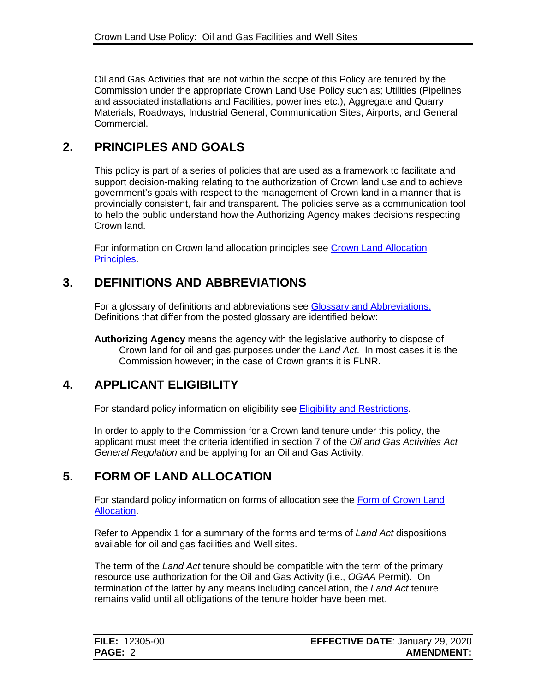Oil and Gas Activities that are not within the scope of this Policy are tenured by the Commission under the appropriate Crown Land Use Policy such as; Utilities (Pipelines and associated installations and Facilities, powerlines etc.), Aggregate and Quarry Materials, Roadways, Industrial General, Communication Sites, Airports, and General Commercial.

## **2. PRINCIPLES AND GOALS**

<span id="page-4-0"></span>This policy is part of a series of policies that are used as a framework to facilitate and support decision-making relating to the authorization of Crown land use and to achieve government's goals with respect to the management of Crown land in a manner that is provincially consistent, fair and transparent. The policies serve as a communication tool to help the public understand how the Authorizing Agency makes decisions respecting Crown land.

For information on Crown land allocation principles see [Crown Land Allocation](https://www2.gov.bc.ca/assets/gov/farming-natural-resources-and-industry/natural-resource-use/land-water-use/crown-land/allocation_principles.pdf) [Principles.](https://www2.gov.bc.ca/assets/gov/farming-natural-resources-and-industry/natural-resource-use/land-water-use/crown-land/allocation_principles.pdf)

## **3. DEFINITIONS AND ABBREVIATIONS**

<span id="page-4-1"></span>For a glossary of definitions and abbreviations see [Glossary and Abbreviations.](https://www2.gov.bc.ca/assets/gov/farming-natural-resources-and-industry/natural-resource-use/land-water-use/crown-land/glossary_and_abbreviations.pdf) Definitions that differ from the posted glossary are identified below:

**Authorizing Agency** means the agency with the legislative authority to dispose of Crown land for oil and gas purposes under the *Land Act*. In most cases it is the Commission however; in the case of Crown grants it is FLNR.

## **4. APPLICANT ELIGIBILITY**

<span id="page-4-2"></span>For standard policy information on eligibility see [Eligibility and Restrictions.](https://www2.gov.bc.ca/assets/gov/farming-natural-resources-and-industry/natural-resource-use/land-water-use/crown-land/eligibility.pdf)

In order to apply to the Commission for a Crown land tenure under this policy, the applicant must meet the criteria identified in section 7 of the *Oil and Gas Activities Act General Regulation* and be applying for an Oil and Gas Activity.

## **5. FORM OF LAND ALLOCATION**

<span id="page-4-3"></span>For standard policy information on forms of allocation see the [Form of Crown Land](https://www2.gov.bc.ca/assets/gov/farming-natural-resources-and-industry/natural-resource-use/land-water-use/crown-land/form_of_allocation.pdf) [Allocation.](https://www2.gov.bc.ca/assets/gov/farming-natural-resources-and-industry/natural-resource-use/land-water-use/crown-land/form_of_allocation.pdf)

Refer to Appendix 1 for a summary of the forms and terms of *Land Act* dispositions available for oil and gas facilities and Well sites.

The term of the *Land Act* tenure should be compatible with the term of the primary resource use authorization for the Oil and Gas Activity (i.e., *OGAA* Permit). On termination of the latter by any means including cancellation, the *Land Act* tenure remains valid until all obligations of the tenure holder have been met.

| <b>FILE: 12305-00</b> | <b>EFFECTIVE DATE: January 29, 2020</b> |
|-----------------------|-----------------------------------------|
| PAGE: 2               | <b>AMENDMENT:</b>                       |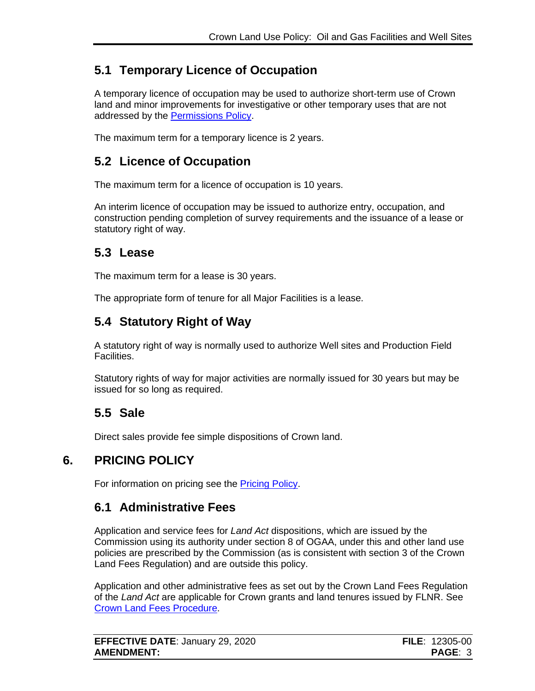# <span id="page-5-0"></span>**5.1 Temporary Licence of Occupation**

A temporary licence of occupation may be used to authorize short-term use of Crown land and minor improvements for investigative or other temporary uses that are not addressed by the [Permissions Policy.](https://www2.gov.bc.ca/assets/gov/farming-natural-resources-and-industry/natural-resource-use/land-water-use/crown-land/permissions.pdf)

The maximum term for a temporary licence is 2 years.

## <span id="page-5-1"></span>**5.2 Licence of Occupation**

The maximum term for a licence of occupation is 10 years.

An interim licence of occupation may be issued to authorize entry, occupation, and construction pending completion of survey requirements and the issuance of a lease or statutory right of way.

#### <span id="page-5-2"></span>**5.3 Lease**

The maximum term for a lease is 30 years.

The appropriate form of tenure for all Major Facilities is a lease.

# <span id="page-5-3"></span>**5.4 Statutory Right of Way**

A statutory right of way is normally used to authorize Well sites and Production Field Facilities.

Statutory rights of way for major activities are normally issued for 30 years but may be issued for so long as required.

# <span id="page-5-4"></span>**5.5 Sale**

<span id="page-5-5"></span>Direct sales provide fee simple dispositions of Crown land.

## **6. PRICING POLICY**

For information on pricing see the [Pricing Policy.](https://www2.gov.bc.ca/assets/gov/farming-natural-resources-and-industry/natural-resource-use/land-water-use/crown-land/pricing.pdf#page=101)

## <span id="page-5-6"></span>**6.1 Administrative Fees**

Application and service fees for *Land Act* dispositions, which are issued by the Commission using its authority under section 8 of OGAA, under this and other land use policies are prescribed by the Commission (as is consistent with section 3 of the Crown Land Fees Regulation) and are outside this policy.

Application and other administrative fees as set out by the Crown Land Fees Regulation of the *Land Act* are applicable for Crown grants and land tenures issued by FLNR. See [Crown Land Fees Procedure.](https://www2.gov.bc.ca/assets/gov/farming-natural-resources-and-industry/natural-resource-use/land-water-use/crown-land/fees.pdf)

| <b>EFFECTIVE DATE: January 29, 2020</b> | <b>FILE</b> : $12305-00$ |
|-----------------------------------------|--------------------------|
| <b>AMENDMENT:</b>                       | <b>PAGE: 3</b>           |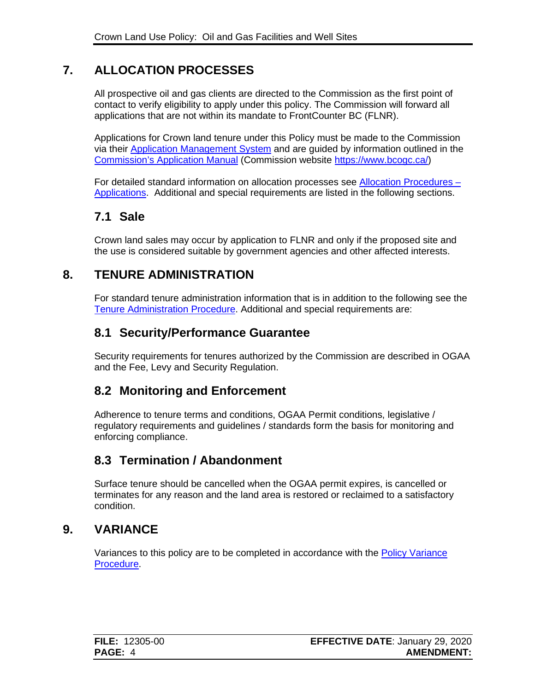## **7. ALLOCATION PROCESSES**

<span id="page-6-0"></span>All prospective oil and gas clients are directed to the Commission as the first point of contact to verify eligibility to apply under this policy. The Commission will forward all applications that are not within its mandate to FrontCounter BC (FLNR).

Applications for Crown land tenure under this Policy must be made to the Commission via their [Application Management System](https://www.bcogc.ca/industry-zone/ams/application-management-system) and are guided by information outlined in the [Commission's Application Manual](https://www.bcogc.ca/industry-zone/documentation/oil-and-gas-activity-application-manual) (Commission website [https://www.bcogc.ca/\)](https://www.bcogc.ca/)

For detailed standard information on allocation processes see [Allocation Procedures –](https://www2.gov.bc.ca/assets/gov/farming-natural-resources-and-industry/natural-resource-use/land-water-use/crown-land/ap_applications.pdf) [Applications.](https://www2.gov.bc.ca/assets/gov/farming-natural-resources-and-industry/natural-resource-use/land-water-use/crown-land/ap_applications.pdf) Additional and special requirements are listed in the following sections.

## <span id="page-6-1"></span>**7.1 Sale**

Crown land sales may occur by application to FLNR and only if the proposed site and the use is considered suitable by government agencies and other affected interests.

#### **8. TENURE ADMINISTRATION**

<span id="page-6-2"></span>For standard tenure administration information that is in addition to the following see the [Tenure Administration Procedure.](https://www2.gov.bc.ca/assets/gov/farming-natural-resources-and-industry/natural-resource-use/land-water-use/crown-land/ta_general.pdf) Additional and special requirements are:

#### <span id="page-6-3"></span>**8.1 Security/Performance Guarantee**

Security requirements for tenures authorized by the Commission are described in OGAA and the Fee, Levy and Security Regulation.

#### <span id="page-6-4"></span>**8.2 Monitoring and Enforcement**

Adherence to tenure terms and conditions, OGAA Permit conditions, legislative / regulatory requirements and guidelines / standards form the basis for monitoring and enforcing compliance.

#### <span id="page-6-5"></span>**8.3 Termination / Abandonment**

Surface tenure should be cancelled when the OGAA permit expires, is cancelled or terminates for any reason and the land area is restored or reclaimed to a satisfactory condition.

#### **9. VARIANCE**

<span id="page-6-6"></span>Variances to this policy are to be completed in accordance with the [Policy Variance](https://www2.gov.bc.ca/assets/gov/farming-natural-resources-and-industry/natural-resource-use/land-water-use/crown-land/variance.pdf)  [Procedure.](https://www2.gov.bc.ca/assets/gov/farming-natural-resources-and-industry/natural-resource-use/land-water-use/crown-land/variance.pdf)